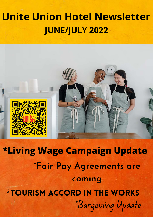### **Unite Union Hotel Newsletter JUNE/JULY 2022**



**\*Living Wage Campaign Update** \*Bargaining Update **\*Fair Pay Agreements are coming** \*Tourism accord in the works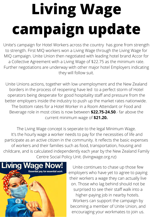# **Living Wage campaign update**

Unite's campaign for Hotel Workers across the country has gone from strength to strength. First MIQ workers won a Living Wage through the Living Wage for MIQ campaign. Unite Union then negotiated with leading hotel brand Accor for a Collective Agreement with a Living Wage of \$22.75 as the minimum rate. Further negotiations are underway with other major hotel Employers indicating they will follow suit.

Unite Unions actions, together with low unemployment and the New Zealand borders in the process of reopening have led to a perfect storm of Hotel operators being desperate for good hospitality staff and pressure from the better employers inside the industry to push up the market rates nationwide. The bottom rates for a Hotel Worker in a Room Attendant or Food and Beverage role in most cities is now between **\$22.75-24.50**.- far above the current minimum wage of **\$21.20.**

The Living Wage concept is seperate to the legal Minimum Wage. It's the hourly wage a worker needs to pay for the necessities of life and participate as an active citizen in the community. It reflects the basic expenses of workers and their families such as food, transportation, housing and childcare, and is calculated independently each year by the New Zealand Family Centre Social Policy Unit. (livingwage.org.nz)



Unite continues to chase up those few employers who have yet to agree to paying their workers a wage they can actually live on. Those who lag behind should not be surprised to see their staff walk into a higher-paying job in nearby hotels. Workers can support the campaign by becoming a member of Unite Union, and encouraging your workmates to join us.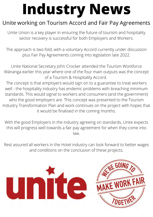## **Industry News**

### Unite working on Tourism Accord and Fair Pay Agreements

Unite Union is a key player in ensuring the future of tourism and hospitality sector recovery is successful for both Employers and Workers.

The approach is two-fold, with a voluntary Accord currently under discussion plus Fair Pay Agreements coming into legislation late 2022.

Unite National Secretary John Crocker attended the Tourism Workforce Wānanga earlier this year where one of the four main outputs was the concept of a Tourism & Hospitality Accord.

The concept is that employers would sign on to a guarantee to treat workers well - the hospitality industry has endemic problems with breaching minimum standards. This would signal to workers and consumers (and the government) who the good employers are. This concept was presented to the Tourism Industry Transformation Plan and work continues on the project with hopes that it would be finalised in the coming months.

With the good Employers in the industry agreeing on standards, Unite expects this will progress well towards a fair pay agreement for when they come into law.

Rest assured all workers in the Hotel industry can look forward to better wages and conditions on the conclusion of these projects.